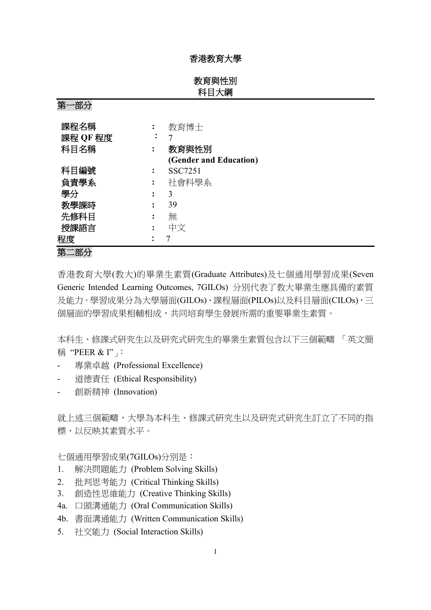## 香港教育大學

# 教育與性別 科目大綱

| ᡔᠯ<br>ロリノノ |           |                        |
|------------|-----------|------------------------|
|            |           |                        |
| 課程名稱       |           | 教育博士                   |
| 課程 QF 程度   | $\bullet$ |                        |
| 科目名稱       | ፡         | 教育與性別                  |
|            |           | (Gender and Education) |
| 科目編號       |           | SSC7251                |
| 負責學系       | ፡         | 社會科學系                  |
| 學分         | :         | 3                      |
| 教學課時       | ٠         | 39                     |
| 先修科目       | ٠         | 無                      |
| 授課語言       |           | 中文                     |
| 程度         |           |                        |
|            |           |                        |

第二部分

第一部分

香港教育大學(教大)的畢業生素質(Graduate Attributes)及七個通用學習成果(Seven Generic Intended Learning Outcomes, 7GILOs) 分別代表了教大畢業生應具備的素質 及能力。學習成果分為大學層面(GILOs)、課程層面(PILOs)以及科目層面(CILOs),三 個層面的學習成果相輔相成,共同培育學生發展所需的重要畢業生素質。

本科生、修課式研究生以及研究式研究生的畢業生素質包含以下三個範疇 「英文簡 稱 "PEER & I"」:

- 專業卓越 (Professional Excellence)
- 道德責任 (Ethical Responsibility)
- 創新精神 (Innovation)

就上述三個範疇,大學為本科生、修課式研究生以及研究式研究生訂立了不同的指 標,以反映其素質水平。

七個通用學習成果(7GILOs)分別是:

- 1. 解決問題能力 (Problem Solving Skills)
- 2. 批判思考能力 (Critical Thinking Skills)
- 3. 創造性思維能力 (Creative Thinking Skills)
- 4a. 口頭溝通能力 (Oral Communication Skills)
- 4b. 書面溝通能力 (Written Communication Skills)
- 5. 社交能力 (Social Interaction Skills)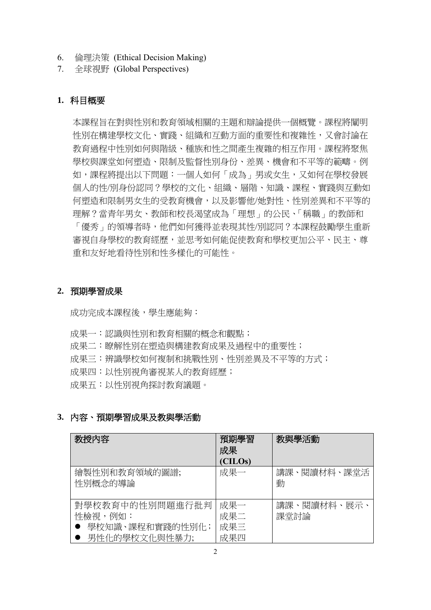- 6. 倫理決策 (Ethical Decision Making)
- 7. 全球視野 (Global Perspectives)

## **1.** 科目概要

本課程旨在對與性別和教育領域相關的主題和辯論提供一個概覽。課程將闡明 性別在構建學校文化、實踐、組織和互動方面的重要性和複雜性,又會討論在 教育過程中性別如何與階級、種族和性之間產生複雜的相互作用。課程將聚焦 學校與課堂如何塑造、限制及監督性別身份、差異、機會和不平等的範疇。例 如,課程將提出以下問題:一個人如何「成為」男或女生,又如何在學校發展 個人的性/別身份認同?學校的文化、組織、層階、知識、課程、實踐與互動如 何塑造和限制男女生的受教育機會,以及影響他/她對性、性別差異和不平等的 理解?當青年男女、教師和校長渴望成為「理想」的公民、「稱職」的教師和 「優秀」的領導者時,他們如何獲得並表現其性/別認同?本課程鼓勵學生重新 審視自身學校的教育經歷,並思考如何能促使教育和學校更加公平、民主、尊 重和友好地看待性別和性多樣化的可能性。

## **2.** 預期學習成果

成功完成本課程後,學生應能夠:

成果一:認識與性別和教育相關的概念和觀點;

- 成果二:瞭解性別在塑造與構建教育成果及過程中的重要性;
- 成果三:辨識學校如何複制和挑戰性別、性別差異及不平等的方式;
- 成果四:以性別視角審視某人的教育經歷;

成果五:以性別視角探討教育議題。

## **3.** 內容、預期學習成果及教與學活動

| 教授内容                                                           | 預期學習<br>成果               | 教與學活動               |
|----------------------------------------------------------------|--------------------------|---------------------|
|                                                                | (CILOs)                  |                     |
| 繪製性別和教育領域的圖譜;<br>性別概念的導論                                       | 成果一                      | 講課、閱讀材料、課堂活<br>動    |
| 對學校教育中的性別問題進行批判<br>性檢視,例如:<br>學校知識、課程和實踐的性別化;<br>男性化的學校文化與性暴力; | 成果一<br>成果二<br>成果三<br>成果四 | 講課、閱讀材料、展示、<br>課堂討論 |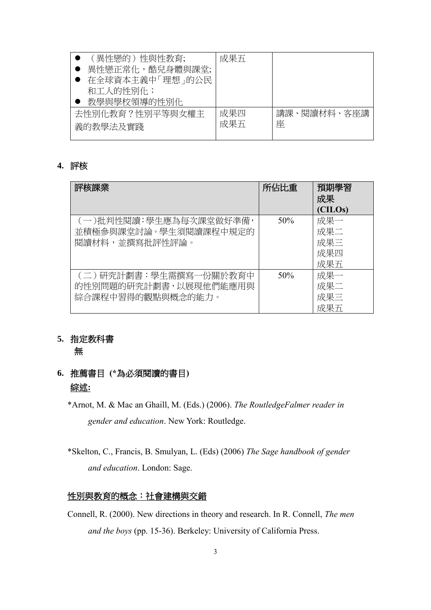| 成果五        |                  |
|------------|------------------|
|            |                  |
| 成果四<br>成果五 | 講課、閱讀材料、客座講<br>座 |
|            |                  |

## **4.** 評核

| 評核課業                                                                | 所佔比重 | 預期學習<br>成果<br>(CILOs)           |
|---------------------------------------------------------------------|------|---------------------------------|
| (一)批判性閱讀:學生應為每次課堂做好準備,<br>並積極參與課堂討論。學生須閱讀課程中規定的<br>閱讀材料,並撰寫批評性評論。   | 50%  | 成果一<br>成果二<br>成果三<br>成果四<br>成果五 |
| (二)研究計劃書:學生需撰寫一份關於教育中<br>的性別問題的研究計劃書,以展現他們能應用與<br>綜合課程中習得的觀點與概念的能力。 | 50%  | 成果一<br>成果二<br>成果三<br>成果五        |

# **5.** 指定教科書

無

- **6.** 推薦書目 **(\***為必須閱讀的書目**)** 綜述**:**
	- \*Arnot, M. & Mac an Ghaill, M. (Eds.) (2006). *The RoutledgeFalmer reader in gender and education*. New York: Routledge.
	- \*Skelton, C., Francis, B. Smulyan, L. (Eds) (2006) *The Sage handbook of gender and education*. London: Sage.

# 性別與教育的概念:社會建構與交錯

Connell, R. (2000). New directions in theory and research. In R. Connell, *The men and the boys* (pp. 15-36). Berkeley: University of California Press.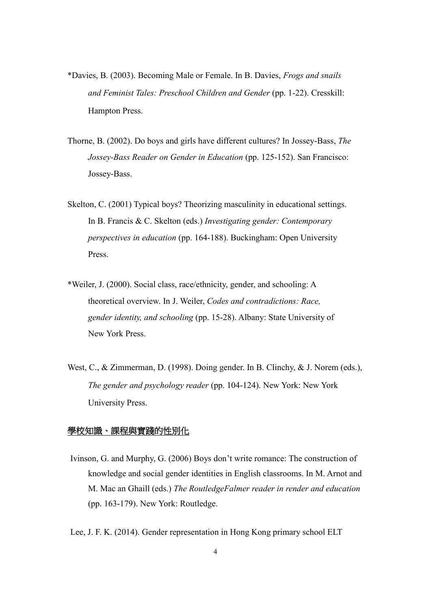- \*Davies, B. (2003). Becoming Male or Female. In B. Davies, *Frogs and snails and Feminist Tales: Preschool Children and Gender* (pp. 1-22). Cresskill: Hampton Press.
- Thorne, B. (2002). Do boys and girls have different cultures? In Jossey-Bass, *The Jossey-Bass Reader on Gender in Education* (pp. 125-152). San Francisco: Jossey-Bass.
- Skelton, C. (2001) Typical boys? Theorizing masculinity in educational settings. In B. Francis & C. Skelton (eds.) *Investigating gender: Contemporary perspectives in education* (pp. 164-188). Buckingham: Open University Press.
- \*Weiler, J. (2000). Social class, race/ethnicity, gender, and schooling: A theoretical overview. In J. Weiler, *Codes and contradictions: Race, gender identity, and schooling* (pp. 15-28). Albany: State University of New York Press.
- West, C., & Zimmerman, D. (1998). Doing gender. In B. Clinchy, & J. Norem (eds.), *The gender and psychology reader* (pp. 104-124). New York: New York University Press.

#### 學校知識、課程與實踐的性別化

- Ivinson, G. and Murphy, G. (2006) Boys don't write romance: The construction of knowledge and social gender identities in English classrooms. In M. Arnot and M. Mac an Ghaill (eds.) *The RoutledgeFalmer reader in render and education* (pp. 163-179). New York: Routledge.
- Lee, J. F. K. (2014). Gender representation in Hong Kong primary school ELT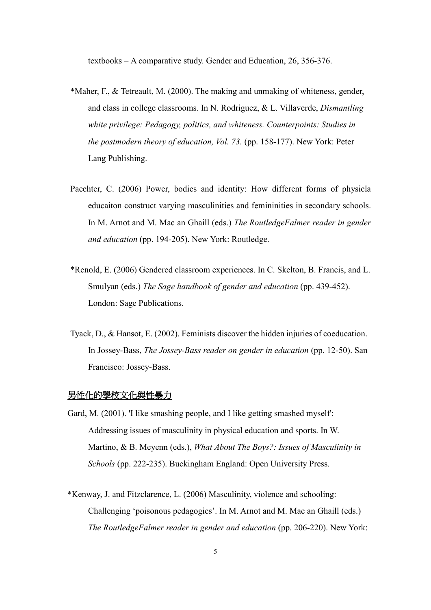textbooks – A comparative study. Gender and Education, 26, 356-376.

- \*Maher, F., & Tetreault, M. (2000). The making and unmaking of whiteness, gender, and class in college classrooms. In N. Rodriguez, & L. Villaverde, *Dismantling white privilege: Pedagogy, politics, and whiteness. Counterpoints: Studies in the postmodern theory of education, Vol. 73. (pp. 158-177). New York: Peter* Lang Publishing.
- Paechter, C. (2006) Power, bodies and identity: How different forms of physicla educaiton construct varying masculinities and femininities in secondary schools. In M. Arnot and M. Mac an Ghaill (eds.) *The RoutledgeFalmer reader in gender and education* (pp. 194-205). New York: Routledge.
- \*Renold, E. (2006) Gendered classroom experiences. In C. Skelton, B. Francis, and L. Smulyan (eds.) *The Sage handbook of gender and education* (pp. 439-452). London: Sage Publications.
- Tyack, D., & Hansot, E. (2002). Feminists discover the hidden injuries of coeducation. In Jossey-Bass, *The Jossey-Bass reader on gender in education* (pp. 12-50). San Francisco: Jossey-Bass.

#### <u>男性化的學校文化與性暴力</u>

- Gard, M. (2001). 'I like smashing people, and I like getting smashed myself': Addressing issues of masculinity in physical education and sports. In W. Martino, & B. Meyenn (eds.), *What About The Boys?: Issues of Masculinity in Schools* (pp. 222-235). Buckingham England: Open University Press.
- \*Kenway, J. and Fitzclarence, L. (2006) Masculinity, violence and schooling: Challenging 'poisonous pedagogies'. In M. Arnot and M. Mac an Ghaill (eds.) *The RoutledgeFalmer reader in gender and education* (pp. 206-220). New York: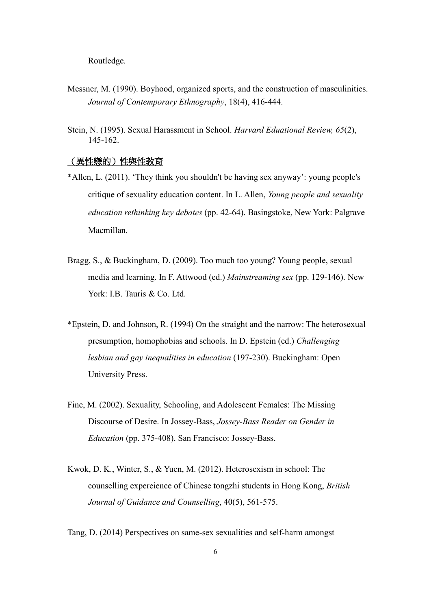Routledge.

- Messner, M. (1990). Boyhood, organized sports, and the construction of masculinities. *Journal of Contemporary Ethnography*, 18(4), 416-444.
- Stein, N. (1995). Sexual Harassment in School. *Harvard Eduational Review, 65*(2), 145-162.

#### (異性戀的)性與性教育

- \*Allen, L. (2011). 'They think you shouldn't be having sex anyway': young people's critique of sexuality education content. In L. Allen, *Young people and sexuality education rethinking key debates* (pp. 42-64). Basingstoke, New York: Palgrave Macmillan.
- Bragg, S., & Buckingham, D. (2009). Too much too young? Young people, sexual media and learning. In F. Attwood (ed.) *Mainstreaming sex* (pp. 129-146). New York: I.B. Tauris & Co. Ltd.
- \*Epstein, D. and Johnson, R. (1994) On the straight and the narrow: The heterosexual presumption, homophobias and schools. In D. Epstein (ed.) *Challenging lesbian and gay inequalities in education* (197-230). Buckingham: Open University Press.
- Fine, M. (2002). Sexuality, Schooling, and Adolescent Females: The Missing Discourse of Desire. In Jossey-Bass, *Jossey-Bass Reader on Gender in Education* (pp. 375-408). San Francisco: Jossey-Bass.
- Kwok, D. K., Winter, S., & Yuen, M. (2012). Heterosexism in school: The counselling expereience of Chinese tongzhi students in Hong Kong, *British Journal of Guidance and Counselling*, 40(5), 561-575.

Tang, D. (2014) Perspectives on same-sex sexualities and self-harm amongst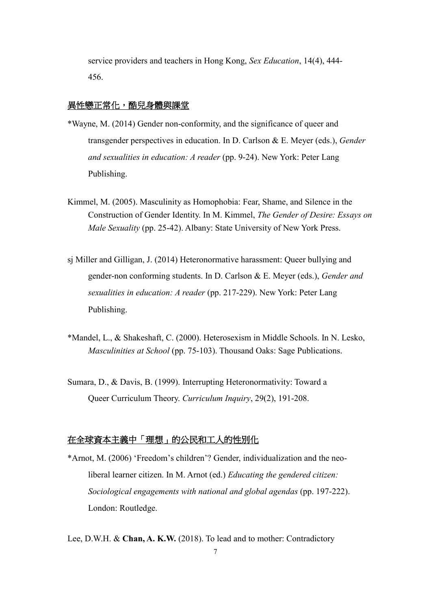service providers and teachers in Hong Kong, *Sex Education*, 14(4), 444- 456.

#### 異性戀正常化,酷兒身體與課堂

- \*Wayne, M. (2014) Gender non-conformity, and the significance of queer and transgender perspectives in education. In D. Carlson & E. Meyer (eds.), *Gender and sexualities in education: A reader* (pp. 9-24). New York: Peter Lang Publishing.
- Kimmel, M. (2005). Masculinity as Homophobia: Fear, Shame, and Silence in the Construction of Gender Identity. In M. Kimmel, *The Gender of Desire: Essays on Male Sexuality* (pp. 25-42). Albany: State University of New York Press.
- sj Miller and Gilligan, J. (2014) Heteronormative harassment: Queer bullying and gender-non conforming students. In D. Carlson & E. Meyer (eds.), *Gender and sexualities in education: A reader* (pp. 217-229). New York: Peter Lang Publishing.
- \*Mandel, L., & Shakeshaft, C. (2000). Heterosexism in Middle Schools. In N. Lesko, *Masculinities at School* (pp. 75-103). Thousand Oaks: Sage Publications.
- Sumara, D., & Davis, B. (1999). Interrupting Heteronormativity: Toward a Queer Curriculum Theory. *Curriculum Inquiry*, 29(2), 191-208.

# 在全球資本主義中「理想」的公民和工人的性別化

\*Arnot, M. (2006) 'Freedom's children'? Gender, individualization and the neoliberal learner citizen. In M. Arnot (ed.) *Educating the gendered citizen: Sociological engagements with national and global agendas* (pp. 197-222). London: Routledge.

Lee, D.W.H. & **Chan, A. K.W.** (2018). To lead and to mother: Contradictory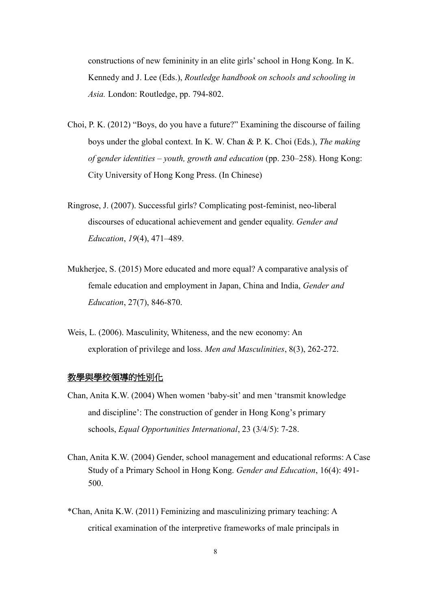constructions of new femininity in an elite girls' school in Hong Kong. In K. Kennedy and J. Lee (Eds.), *Routledge handbook on schools and schooling in Asia.* London: Routledge, pp. 794-802.

- Choi, P. K. (2012) "Boys, do you have a future?" Examining the discourse of failing boys under the global context. In K. W. Chan & P. K. Choi (Eds.), *The making of* g*ender identities – youth, growth and education* (pp. 230–258). Hong Kong: City University of Hong Kong Press. (In Chinese)
- Ringrose, J. (2007). Successful girls? Complicating post-feminist, neo-liberal discourses of educational achievement and gender equality. *Gender and Education*, *19*(4), 471–489.
- Mukherjee, S. (2015) More educated and more equal? A comparative analysis of female education and employment in Japan, China and India, *Gender and Education*, 27(7), 846-870.
- Weis, L. (2006). Masculinity, Whiteness, and the new economy: An exploration of privilege and loss. *Men and Masculinities*, 8(3), 262-272.

#### **教學與學校領導的性別化**

- Chan, Anita K.W. (2004) When women 'baby-sit' and men 'transmit knowledge and discipline': The construction of gender in Hong Kong's primary schools, *Equal Opportunities International*, 23 (3/4/5): 7-28.
- Chan, Anita K.W. (2004) Gender, school management and educational reforms: A Case Study of a Primary School in Hong Kong. *Gender and Education*, 16(4): 491- 500.
- \*Chan, Anita K.W. (2011) Feminizing and masculinizing primary teaching: A critical examination of the interpretive frameworks of male principals in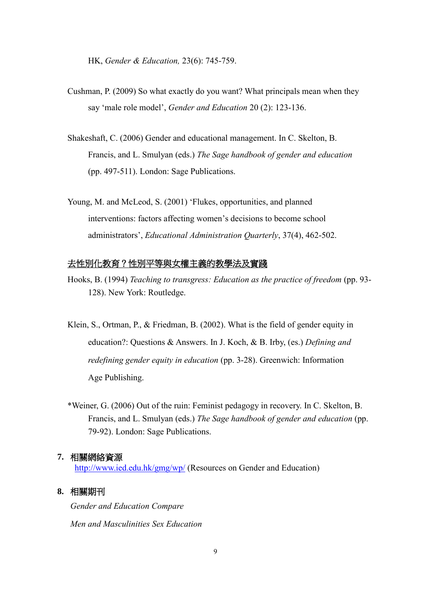HK, *Gender & Education,* 23(6): 745-759.

- Cushman, P. (2009) So what exactly do you want? What principals mean when they say 'male role model', *Gender and Education* 20 (2): 123-136.
- Shakeshaft, C. (2006) Gender and educational management. In C. Skelton, B. Francis, and L. Smulyan (eds.) *The Sage handbook of gender and education* (pp. 497-511). London: Sage Publications.
- Young, M. and McLeod, S. (2001) 'Flukes, opportunities, and planned interventions: factors affecting women's decisions to become school administrators', *Educational Administration Quarterly*, 37(4), 462-502.

#### 去性別化教育?性別平等與女權主義的教學法及實踐

- Hooks, B. (1994) *Teaching to transgress: Education as the practice of freedom* (pp. 93- 128). New York: Routledge.
- Klein, S., Ortman, P., & Friedman, B. (2002). What is the field of gender equity in education?: Questions & Answers. In J. Koch, & B. Irby, (es.) *Defining and redefining gender equity in education* (pp. 3-28). Greenwich: Information Age Publishing.
- \*Weiner, G. (2006) Out of the ruin: Feminist pedagogy in recovery. In C. Skelton, B. Francis, and L. Smulyan (eds.) *The Sage handbook of gender and education* (pp. 79-92). London: Sage Publications.

#### **7.** 相關網絡資源

<http://www.ied.edu.hk/gmg/wp/> (Resources on Gender and Education)

## **8.** 相關期刊

*Gender and Education Compare Men and Masculinities Sex Education*